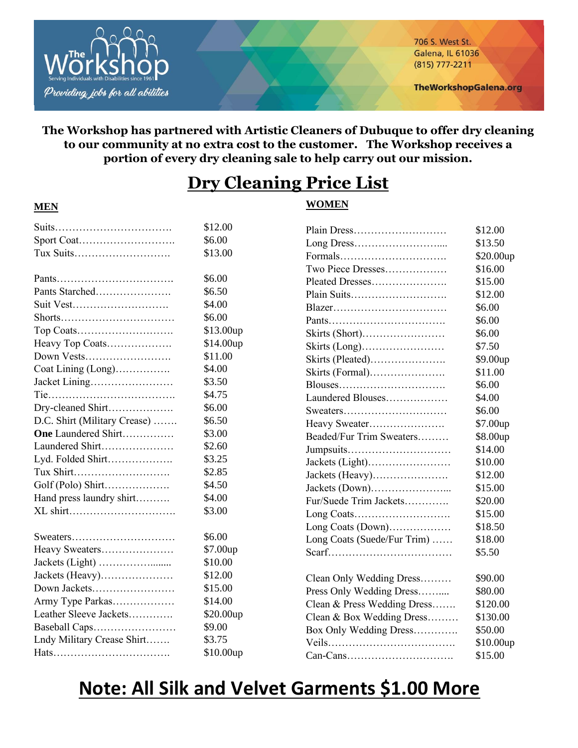

**MEN**

706 S. West St. **Galena, IL 61036** (815) 777-2211

**TheWorkshopGalena.org** 

## **The Workshop has partnered with Artistic Cleaners of Dubuque to offer dry cleaning to our community at no extra cost to the customer. The Workshop receives a portion of every dry cleaning sale to help carry out our mission.**

# **Dry Cleaning Price List**

## **WOMEN**

|                              | \$12.00     |                             | \$12.00   |
|------------------------------|-------------|-----------------------------|-----------|
|                              | \$6.00      |                             | \$13.50   |
| Tux Suits                    | \$13.00     |                             | \$20.00up |
|                              |             | Two Piece Dresses           | \$16.00   |
|                              | \$6.00      | Pleated Dresses             | \$15.00   |
| Pants Starched               | \$6.50      | Plain Suits                 | \$12.00   |
| Suit Vest                    | \$4.00      |                             | \$6.00    |
|                              | \$6.00      |                             | \$6.00    |
|                              | \$13.00up   | Skirts (Short)              | \$6.00    |
| Heavy Top Coats              | \$14.00up   |                             | \$7.50    |
| Down Vests                   | \$11.00     | Skirts (Pleated)            | \$9.00up  |
| Coat Lining (Long)           | \$4.00      | Skirts (Formal)             | \$11.00   |
| Jacket Lining                | \$3.50      |                             | \$6.00    |
|                              | \$4.75      | Laundered Blouses           | \$4.00    |
| Dry-cleaned Shirt            | \$6.00      | Sweaters                    | \$6.00    |
| D.C. Shirt (Military Crease) | \$6.50      | Heavy Sweater               | \$7.00up  |
| One Laundered Shirt          | \$3.00      | Beaded/Fur Trim Sweaters    | \$8.00up  |
| Laundered Shirt              | \$2.60      | Jumpsuits                   | \$14.00   |
| Lyd. Folded Shirt            | \$3.25      | Jackets (Light)             | \$10.00   |
| Tux Shirt                    | \$2.85      | Jackets (Heavy)             | \$12.00   |
| Golf (Polo) Shirt            | \$4.50      |                             | \$15.00   |
| Hand press laundry shirt     | \$4.00      | Fur/Suede Trim Jackets      | \$20.00   |
| XL shirt                     | \$3.00      | Long Coats                  | \$15.00   |
|                              |             | Long Coats (Down)           | \$18.50   |
| Sweaters                     | \$6.00      | Long Coats (Suede/Fur Trim) | \$18.00   |
| Heavy Sweaters               | \$7.00up    |                             | \$5.50    |
|                              | \$10.00     |                             |           |
| Jackets (Heavy)              | \$12.00     | Clean Only Wedding Dress    | \$90.00   |
| Down Jackets                 | \$15.00     | Press Only Wedding Dress    | \$80.00   |
| Army Type Parkas             | \$14.00     | Clean & Press Wedding Dress | \$120.00  |
| Leather Sleeve Jackets       | \$20.00up   | Clean & Box Wedding Dress   | \$130.00  |
| Baseball Caps                | \$9.00      | Box Only Wedding Dress      | \$50.00   |
| Lndy Military Crease Shirt   | \$3.75      |                             | \$10.00up |
|                              | $$10.00$ up |                             | \$15.00   |

# **Note: All Silk and Velvet Garments \$1.00 More**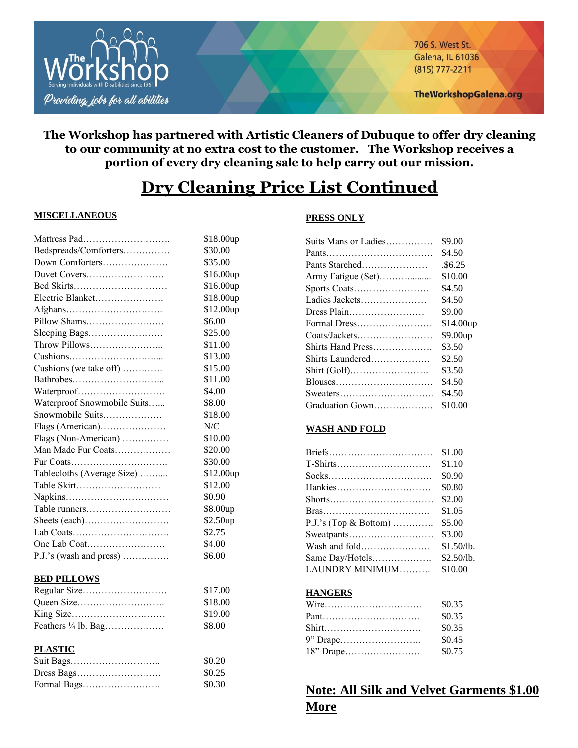

706 S. West St. **Galena, IL 61036** (815) 777-2211

## **The Workshop has partnered with Artistic Cleaners of Dubuque to offer dry cleaning to our community at no extra cost to the customer. The Workshop receives a portion of every dry cleaning sale to help carry out our mission.**

# **Dry Cleaning Price List Continued**

### **MISCELLANEOUS**

| Mattress Pad                   | \$18.00up |
|--------------------------------|-----------|
| Bedspreads/Comforters          | \$30.00   |
| Down Comforters                | \$35.00   |
| Duvet Covers                   | \$16.00up |
| Bed Skirts                     | \$16.00up |
| Electric Blanket               | \$18.00up |
|                                | \$12.00up |
| Pillow Shams                   | \$6.00    |
| Sleeping Bags                  | \$25.00   |
| Throw Pillows                  | \$11.00   |
|                                | \$13.00   |
| Cushions (we take off)         | \$15.00   |
|                                | \$11.00   |
| Waterproof                     | \$4.00    |
| Waterproof Snowmobile Suits    | \$8.00    |
| Snowmobile Suits               | \$18.00   |
| Flags (American)               | N/C       |
| Flags (Non-American)           | \$10.00   |
| Man Made Fur Coats             | \$20.00   |
| Fur Coats                      | \$30.00   |
| Tablecloths (Average Size)     | \$12.00up |
| Table Skirt                    | \$12.00   |
|                                | \$0.90    |
| Table runners                  | \$8.00up  |
| Sheets (each)                  | \$2.50up  |
| Lab Coats                      | \$2.75    |
| One Lab Coat                   | \$4.00    |
| P.J.'s (wash and press)        | \$6.00    |
| <b>BED PILLOWS</b>             |           |
| Regular Size                   | \$17.00   |
|                                | \$18.00   |
| King Size                      | \$19.00   |
| Feathers $\frac{1}{4}$ lb. Bag | \$8.00    |
| <b>PLASTIC</b>                 |           |
| Suit Bags                      | \$0.20    |

Dress Bags……………………… \$0.25 Formal Bags……………………. \$0.30

### **PRESS ONLY**

| Suits Mans or Ladies | \$9.00               |
|----------------------|----------------------|
| Pants                | \$4.50               |
| Pants Starched       | .\$6.25              |
| Army Fatigue (Set)   | \$10.00              |
| Sports Coats         | \$4.50               |
| Ladies Jackets       | \$4.50               |
| Dress Plain          | \$9.00               |
| Formal Dress         | \$14.00up            |
|                      | \$9.00 <sub>up</sub> |
| Shirts Hand Press    | \$3.50               |
| Shirts Laundered     | \$2.50               |
|                      | \$3.50               |
|                      | \$4.50               |
|                      | \$4.50               |
| Graduation Gown      | \$10.00              |

### **WASH AND FOLD**

|                         | \$1.00     |
|-------------------------|------------|
|                         | \$1.10     |
|                         | \$0.90     |
|                         | \$0.80     |
| Shorts                  | \$2.00     |
|                         | \$1.05     |
| $P.J.'s$ (Top & Bottom) | \$5.00     |
| Sweatpants              | \$3.00     |
|                         | \$1.50/lb. |
| Same Day/Hotels         | \$2.50/lb. |
| LAUNDRY MINIMUM         | \$10.00    |

### **HANGERS**

|       | \$0.35 |
|-------|--------|
|       | \$0.35 |
| Shirt | \$0.35 |
|       | \$0.45 |
|       | \$0.75 |

## **Note: All Silk and Velvet Garments \$1.00 More**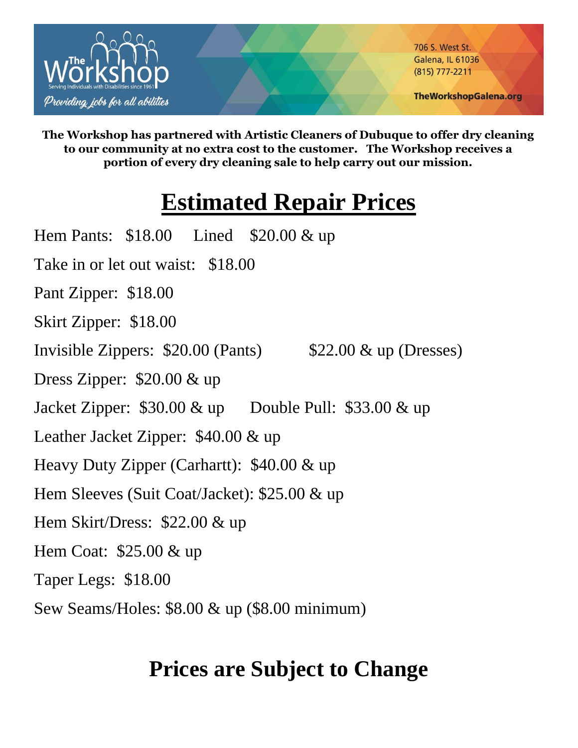

706 S. West St. **Galena, IL 61036** (815) 777-2211

**TheWorkshopGalena.org** 

**The Workshop has partnered with Artistic Cleaners of Dubuque to offer dry cleaning to our community at no extra cost to the customer. The Workshop receives a portion of every dry cleaning sale to help carry out our mission.**

# **Estimated Repair Prices**

Hem Pants: \$18.00 Lined \$20.00 & up Take in or let out waist: \$18.00 Pant Zipper: \$18.00 Skirt Zipper: \$18.00 Invisible Zippers: \$20.00 (Pants) \$22.00 & up (Dresses) Dress Zipper: \$20.00 & up Jacket Zipper: \$30.00 & up Double Pull: \$33.00 & up Leather Jacket Zipper: \$40.00 & up Heavy Duty Zipper (Carhartt): \$40.00 & up Hem Sleeves (Suit Coat/Jacket): \$25.00 & up Hem Skirt/Dress: \$22.00 & up Hem Coat: \$25.00 & up Taper Legs: \$18.00 Sew Seams/Holes: \$8.00 & up (\$8.00 minimum)

# **Prices are Subject to Change**